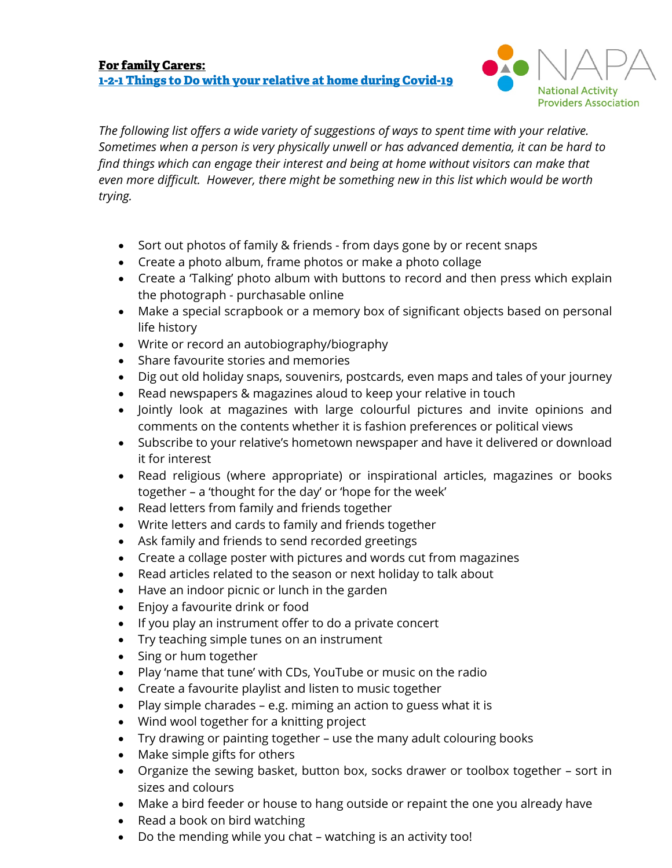

*The following list offers a wide variety of suggestions of ways to spent time with your relative. Sometimes when a person is very physically unwell or has advanced dementia, it can be hard to find things which can engage their interest and being at home without visitors can make that even more difficult. However, there might be something new in this list which would be worth trying.*

- Sort out photos of family & friends from days gone by or recent snaps
- Create a photo album, frame photos or make a photo collage
- Create a 'Talking' photo album with buttons to record and then press which explain the photograph - purchasable online
- Make a special scrapbook or a memory box of significant objects based on personal life history
- Write or record an autobiography/biography
- Share favourite stories and memories
- Dig out old holiday snaps, souvenirs, postcards, even maps and tales of your journey
- Read newspapers & magazines aloud to keep your relative in touch
- Jointly look at magazines with large colourful pictures and invite opinions and comments on the contents whether it is fashion preferences or political views
- Subscribe to your relative's hometown newspaper and have it delivered or download it for interest
- Read religious (where appropriate) or inspirational articles, magazines or books together – a 'thought for the day' or 'hope for the week'
- Read letters from family and friends together
- Write letters and cards to family and friends together
- Ask family and friends to send recorded greetings
- Create a collage poster with pictures and words cut from magazines
- Read articles related to the season or next holiday to talk about
- Have an indoor picnic or lunch in the garden
- Enjoy a favourite drink or food
- If you play an instrument offer to do a private concert
- Try teaching simple tunes on an instrument
- Sing or hum together
- Play 'name that tune' with CDs, YouTube or music on the radio
- Create a favourite playlist and listen to music together
- Play simple charades e.g. miming an action to guess what it is
- Wind wool together for a knitting project
- Try drawing or painting together use the many adult colouring books
- Make simple gifts for others
- Organize the sewing basket, button box, socks drawer or toolbox together sort in sizes and colours
- Make a bird feeder or house to hang outside or repaint the one you already have
- Read a book on bird watching
- Do the mending while you chat watching is an activity too!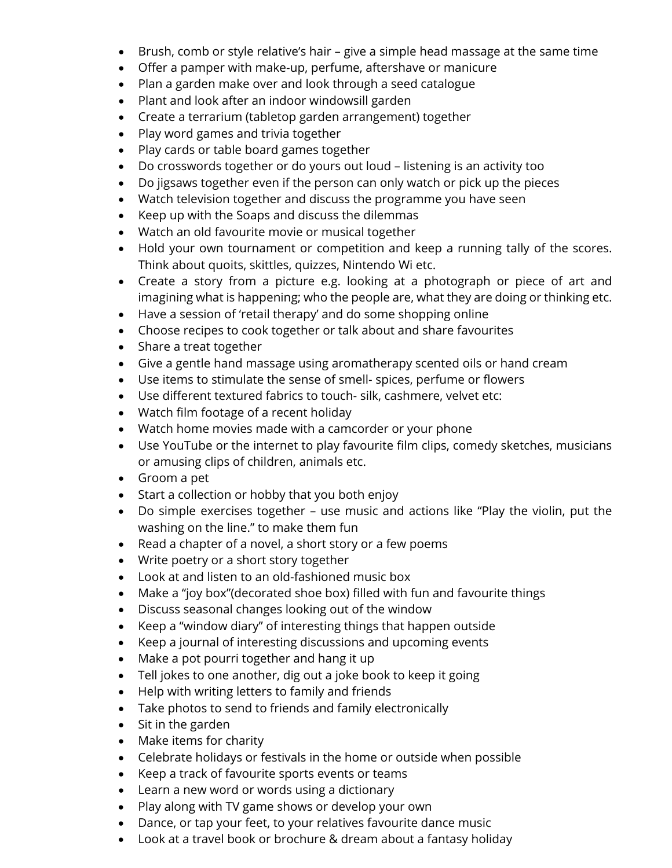- Brush, comb or style relative's hair give a simple head massage at the same time
- Offer a pamper with make-up, perfume, aftershave or manicure
- Plan a garden make over and look through a seed catalogue
- Plant and look after an indoor windowsill garden
- Create a terrarium (tabletop garden arrangement) together
- Play word games and trivia together
- Play cards or table board games together
- Do crosswords together or do yours out loud listening is an activity too
- Do jigsaws together even if the person can only watch or pick up the pieces
- Watch television together and discuss the programme you have seen
- Keep up with the Soaps and discuss the dilemmas
- Watch an old favourite movie or musical together
- Hold your own tournament or competition and keep a running tally of the scores. Think about quoits, skittles, quizzes, Nintendo Wi etc.
- Create a story from a picture e.g. looking at a photograph or piece of art and imagining what is happening; who the people are, what they are doing or thinking etc.
- Have a session of 'retail therapy' and do some shopping online
- Choose recipes to cook together or talk about and share favourites
- Share a treat together
- Give a gentle hand massage using aromatherapy scented oils or hand cream
- Use items to stimulate the sense of smell- spices, perfume or flowers
- Use different textured fabrics to touch- silk, cashmere, velvet etc:
- Watch film footage of a recent holiday
- Watch home movies made with a camcorder or your phone
- Use YouTube or the internet to play favourite film clips, comedy sketches, musicians or amusing clips of children, animals etc.
- Groom a pet
- Start a collection or hobby that you both enjoy
- Do simple exercises together use music and actions like "Play the violin, put the washing on the line." to make them fun
- Read a chapter of a novel, a short story or a few poems
- Write poetry or a short story together
- Look at and listen to an old-fashioned music box
- Make a "joy box"(decorated shoe box) filled with fun and favourite things
- Discuss seasonal changes looking out of the window
- Keep a "window diary" of interesting things that happen outside
- Keep a journal of interesting discussions and upcoming events
- Make a pot pourri together and hang it up
- Tell jokes to one another, dig out a joke book to keep it going
- Help with writing letters to family and friends
- Take photos to send to friends and family electronically
- Sit in the garden
- Make items for charity
- Celebrate holidays or festivals in the home or outside when possible
- Keep a track of favourite sports events or teams
- Learn a new word or words using a dictionary
- Play along with TV game shows or develop your own
- Dance, or tap your feet, to your relatives favourite dance music
- Look at a travel book or brochure & dream about a fantasy holiday